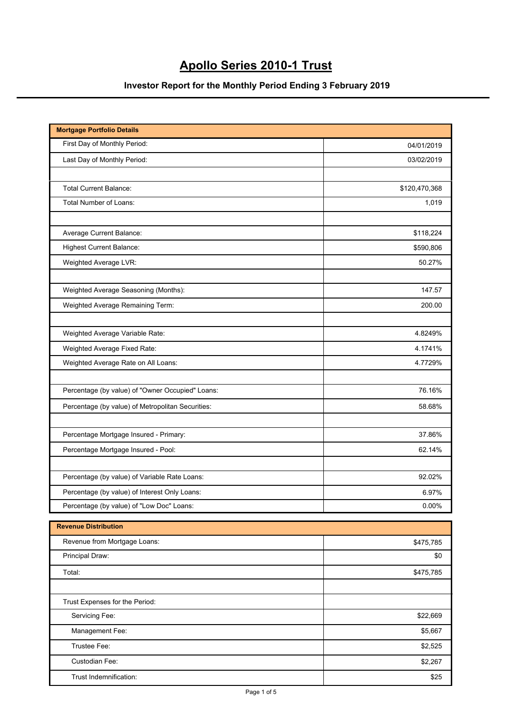## **Apollo Series 2010-1 Trust**

## **Investor Report for the Monthly Period Ending 3 February 2019**

| <b>Mortgage Portfolio Details</b>                 |               |
|---------------------------------------------------|---------------|
| First Day of Monthly Period:                      | 04/01/2019    |
| Last Day of Monthly Period:                       | 03/02/2019    |
|                                                   |               |
| <b>Total Current Balance:</b>                     | \$120,470,368 |
| Total Number of Loans:                            | 1,019         |
| Average Current Balance:                          | \$118,224     |
| <b>Highest Current Balance:</b>                   | \$590,806     |
| Weighted Average LVR:                             | 50.27%        |
|                                                   |               |
| Weighted Average Seasoning (Months):              | 147.57        |
| Weighted Average Remaining Term:                  | 200.00        |
| Weighted Average Variable Rate:                   | 4.8249%       |
| Weighted Average Fixed Rate:                      | 4.1741%       |
| Weighted Average Rate on All Loans:               | 4.7729%       |
|                                                   |               |
| Percentage (by value) of "Owner Occupied" Loans:  | 76.16%        |
| Percentage (by value) of Metropolitan Securities: | 58.68%        |
| Percentage Mortgage Insured - Primary:            | 37.86%        |
| Percentage Mortgage Insured - Pool:               | 62.14%        |
|                                                   |               |
| Percentage (by value) of Variable Rate Loans:     | 92.02%        |
| Percentage (by value) of Interest Only Loans:     | 6.97%         |
| Percentage (by value) of "Low Doc" Loans:         | 0.00%         |

| <b>Revenue Distribution</b>    |           |
|--------------------------------|-----------|
| Revenue from Mortgage Loans:   | \$475,785 |
| Principal Draw:                | \$0       |
| Total:                         | \$475,785 |
|                                |           |
| Trust Expenses for the Period: |           |
| Servicing Fee:                 | \$22,669  |
| Management Fee:                | \$5,667   |
| Trustee Fee:                   | \$2,525   |
| Custodian Fee:                 | \$2,267   |
| Trust Indemnification:         | \$25      |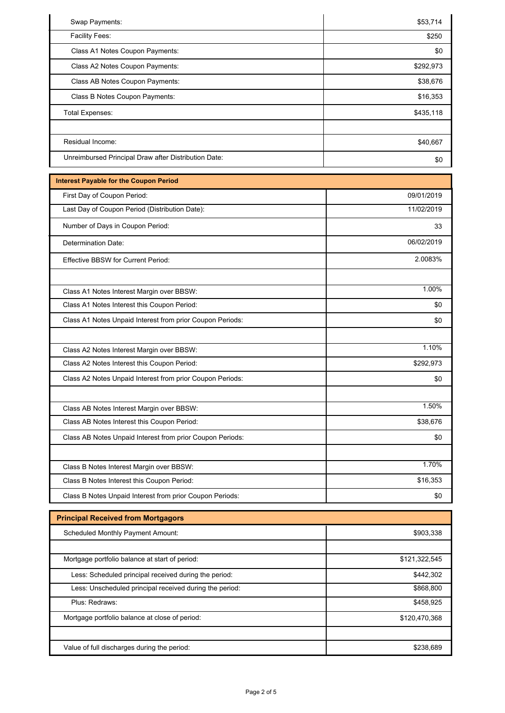| Swap Payments:                                       | \$53,714  |
|------------------------------------------------------|-----------|
| Facility Fees:                                       | \$250     |
| Class A1 Notes Coupon Payments:                      | \$0       |
| Class A2 Notes Coupon Payments:                      | \$292,973 |
| Class AB Notes Coupon Payments:                      | \$38,676  |
| Class B Notes Coupon Payments:                       | \$16,353  |
| Total Expenses:                                      | \$435,118 |
|                                                      |           |
| Residual Income:                                     | \$40,667  |
| Unreimbursed Principal Draw after Distribution Date: | \$0       |

| <b>Interest Payable for the Coupon Period</b>             |            |
|-----------------------------------------------------------|------------|
| First Day of Coupon Period:                               | 09/01/2019 |
| Last Day of Coupon Period (Distribution Date):            | 11/02/2019 |
| Number of Days in Coupon Period:                          | 33         |
| <b>Determination Date:</b>                                | 06/02/2019 |
| <b>Effective BBSW for Current Period:</b>                 | 2.0083%    |
|                                                           |            |
| Class A1 Notes Interest Margin over BBSW:                 | 1.00%      |
| Class A1 Notes Interest this Coupon Period:               | \$0        |
| Class A1 Notes Unpaid Interest from prior Coupon Periods: | \$0        |
|                                                           |            |
| Class A2 Notes Interest Margin over BBSW:                 | 1.10%      |
| Class A2 Notes Interest this Coupon Period:               | \$292,973  |
| Class A2 Notes Unpaid Interest from prior Coupon Periods: | \$0        |
| Class AB Notes Interest Margin over BBSW:                 | 1.50%      |
| Class AB Notes Interest this Coupon Period:               | \$38,676   |
| Class AB Notes Unpaid Interest from prior Coupon Periods: | \$0        |
|                                                           |            |
| Class B Notes Interest Margin over BBSW:                  | 1.70%      |
| Class B Notes Interest this Coupon Period:                | \$16,353   |
| Class B Notes Unpaid Interest from prior Coupon Periods:  | \$0        |

| <b>Principal Received from Mortgagors</b>               |               |
|---------------------------------------------------------|---------------|
| <b>Scheduled Monthly Payment Amount:</b>                | \$903,338     |
|                                                         |               |
| Mortgage portfolio balance at start of period:          | \$121,322,545 |
| Less: Scheduled principal received during the period:   | \$442,302     |
| Less: Unscheduled principal received during the period: | \$868.800     |
| Plus: Redraws:                                          | \$458,925     |
| Mortgage portfolio balance at close of period:          | \$120,470,368 |
|                                                         |               |
| Value of full discharges during the period:             | \$238.689     |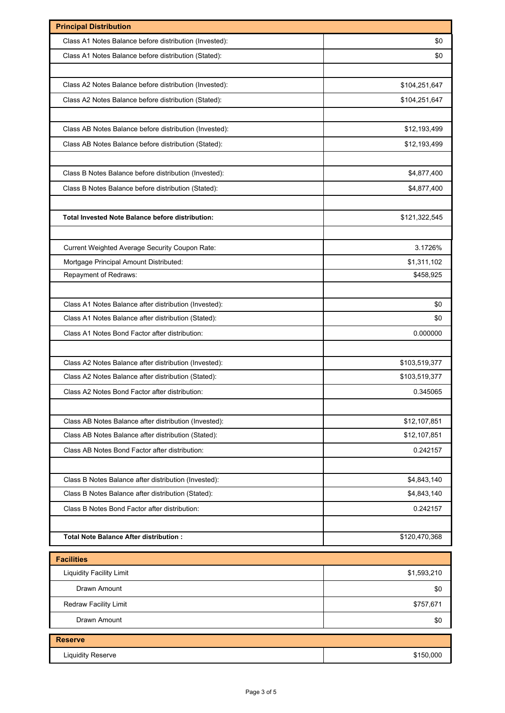| <b>Principal Distribution</b>                           |               |
|---------------------------------------------------------|---------------|
| Class A1 Notes Balance before distribution (Invested):  | \$0           |
| Class A1 Notes Balance before distribution (Stated):    | \$0           |
|                                                         |               |
| Class A2 Notes Balance before distribution (Invested):  | \$104,251,647 |
| Class A2 Notes Balance before distribution (Stated):    | \$104,251,647 |
|                                                         |               |
| Class AB Notes Balance before distribution (Invested):  | \$12,193,499  |
| Class AB Notes Balance before distribution (Stated):    | \$12,193,499  |
|                                                         |               |
| Class B Notes Balance before distribution (Invested):   | \$4,877,400   |
| Class B Notes Balance before distribution (Stated):     | \$4,877,400   |
|                                                         |               |
| <b>Total Invested Note Balance before distribution:</b> | \$121,322,545 |
|                                                         |               |
| Current Weighted Average Security Coupon Rate:          | 3.1726%       |
| Mortgage Principal Amount Distributed:                  | \$1,311,102   |
| Repayment of Redraws:                                   | \$458,925     |
|                                                         |               |
| Class A1 Notes Balance after distribution (Invested):   | \$0           |
| Class A1 Notes Balance after distribution (Stated):     | \$0           |
| Class A1 Notes Bond Factor after distribution:          | 0.000000      |
|                                                         |               |
| Class A2 Notes Balance after distribution (Invested):   | \$103,519,377 |
| Class A2 Notes Balance after distribution (Stated):     | \$103,519,377 |
| Class A2 Notes Bond Factor after distribution:          | 0.345065      |
|                                                         |               |
| Class AB Notes Balance after distribution (Invested):   | \$12,107,851  |
| Class AB Notes Balance after distribution (Stated):     | \$12,107,851  |
| Class AB Notes Bond Factor after distribution:          | 0.242157      |
|                                                         |               |
| Class B Notes Balance after distribution (Invested):    | \$4,843,140   |
| Class B Notes Balance after distribution (Stated):      | \$4,843,140   |
| Class B Notes Bond Factor after distribution:           | 0.242157      |
|                                                         |               |
| Total Note Balance After distribution :                 | \$120,470,368 |
| <b>Facilities</b>                                       |               |
| <b>Liquidity Facility Limit</b>                         | \$1,593,210   |
| Drawn Amount                                            |               |
|                                                         | \$0           |
| Redraw Facility Limit                                   | \$757,671     |
| Drawn Amount                                            | \$0           |
| <b>Reserve</b>                                          |               |
| <b>Liquidity Reserve</b>                                | \$150,000     |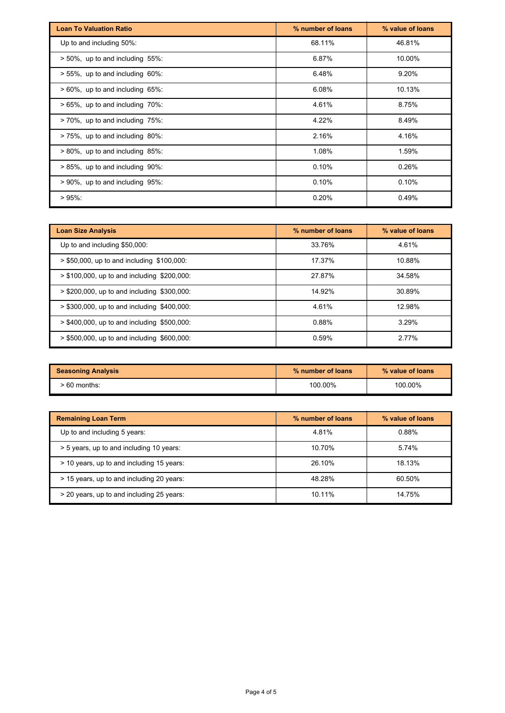| <b>Loan To Valuation Ratio</b>          | % number of loans | % value of loans |
|-----------------------------------------|-------------------|------------------|
| Up to and including 50%:                | 68.11%            | 46.81%           |
| $> 50\%$ , up to and including 55%:     | 6.87%             | 10.00%           |
| $> 55\%$ , up to and including 60%:     | 6.48%             | 9.20%            |
| $> 60\%$ , up to and including $65\%$ : | 6.08%             | 10.13%           |
| $> 65\%$ , up to and including 70%:     | 4.61%             | 8.75%            |
| $> 70\%$ , up to and including $75\%$ : | 4.22%             | 8.49%            |
| >75%, up to and including 80%:          | 2.16%             | 4.16%            |
| $> 80\%$ , up to and including $85\%$ : | 1.08%             | 1.59%            |
| $> 85\%$ , up to and including 90%:     | 0.10%             | 0.26%            |
| $> 90\%$ , up to and including $95\%$ : | 0.10%             | 0.10%            |
| $>95\%$ :                               | 0.20%             | 0.49%            |

| <b>Loan Size Analysis</b>                     | % number of loans | % value of loans |
|-----------------------------------------------|-------------------|------------------|
| Up to and including \$50,000:                 | 33.76%            | 4.61%            |
| $>$ \$50,000, up to and including \$100,000:  | 17.37%            | 10.88%           |
| $> $100,000$ , up to and including \$200,000: | 27.87%            | 34.58%           |
| $>$ \$200,000, up to and including \$300,000: | 14.92%            | 30.89%           |
| $>$ \$300,000, up to and including \$400,000: | 4.61%             | 12.98%           |
| $> $400,000$ , up to and including \$500,000: | 0.88%             | 3.29%            |
| $>$ \$500,000, up to and including \$600,000: | 0.59%             | 2.77%            |

| <b>Seasoning Analysis</b> | % number of loans | % value of loans |
|---------------------------|-------------------|------------------|
| $>60$ months:             | 100.00%           | 100.00%          |

| <b>Remaining Loan Term</b>                | % number of loans | % value of loans |
|-------------------------------------------|-------------------|------------------|
| Up to and including 5 years:              | 4.81%             | 0.88%            |
| > 5 years, up to and including 10 years:  | 10.70%            | 5.74%            |
| > 10 years, up to and including 15 years: | 26.10%            | 18.13%           |
| > 15 years, up to and including 20 years: | 48.28%            | 60.50%           |
| > 20 years, up to and including 25 years: | 10.11%            | 14.75%           |